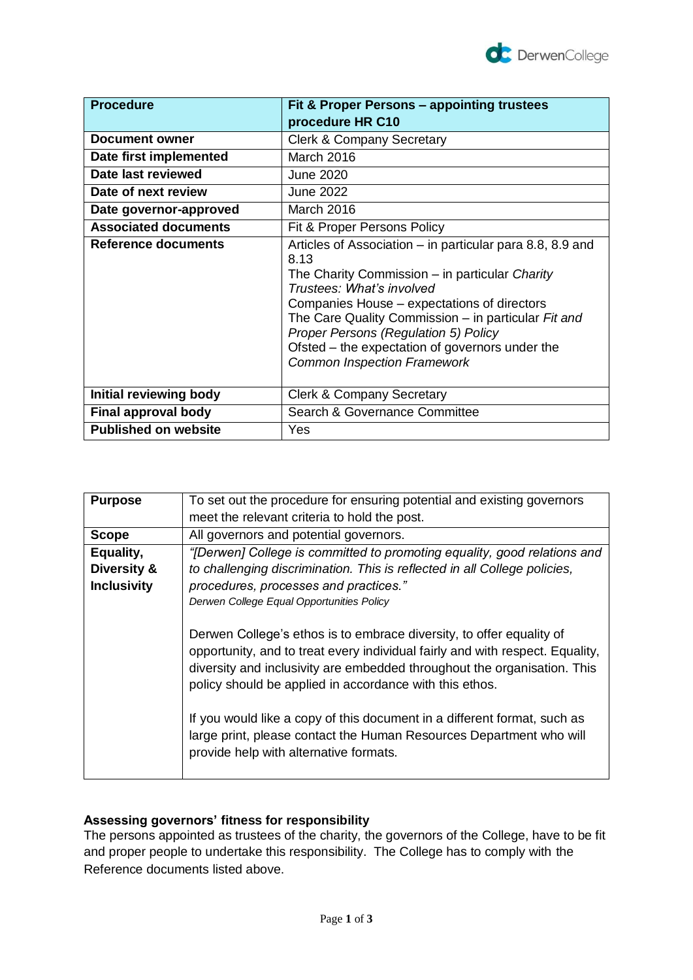

| <b>Procedure</b>            | <b>Fit &amp; Proper Persons – appointing trustees</b><br>procedure HR C10                                                                                                                                                                                                                                                                                                               |
|-----------------------------|-----------------------------------------------------------------------------------------------------------------------------------------------------------------------------------------------------------------------------------------------------------------------------------------------------------------------------------------------------------------------------------------|
| <b>Document owner</b>       |                                                                                                                                                                                                                                                                                                                                                                                         |
|                             | <b>Clerk &amp; Company Secretary</b>                                                                                                                                                                                                                                                                                                                                                    |
| Date first implemented      | March 2016                                                                                                                                                                                                                                                                                                                                                                              |
| Date last reviewed          | <b>June 2020</b>                                                                                                                                                                                                                                                                                                                                                                        |
| Date of next review         | <b>June 2022</b>                                                                                                                                                                                                                                                                                                                                                                        |
| Date governor-approved      | March 2016                                                                                                                                                                                                                                                                                                                                                                              |
| <b>Associated documents</b> | Fit & Proper Persons Policy                                                                                                                                                                                                                                                                                                                                                             |
| Reference documents         | Articles of Association – in particular para 8.8, 8.9 and<br>8.13<br>The Charity Commission – in particular Charity<br>Trustees: What's involved<br>Companies House – expectations of directors<br>The Care Quality Commission - in particular Fit and<br>Proper Persons (Regulation 5) Policy<br>Ofsted – the expectation of governors under the<br><b>Common Inspection Framework</b> |
| Initial reviewing body      | <b>Clerk &amp; Company Secretary</b>                                                                                                                                                                                                                                                                                                                                                    |
| <b>Final approval body</b>  | Search & Governance Committee                                                                                                                                                                                                                                                                                                                                                           |
| <b>Published on website</b> | Yes                                                                                                                                                                                                                                                                                                                                                                                     |

| <b>Purpose</b>     | To set out the procedure for ensuring potential and existing governors                                                                                                                                                                                                                                                                                                                                                                                                                    |
|--------------------|-------------------------------------------------------------------------------------------------------------------------------------------------------------------------------------------------------------------------------------------------------------------------------------------------------------------------------------------------------------------------------------------------------------------------------------------------------------------------------------------|
|                    | meet the relevant criteria to hold the post.                                                                                                                                                                                                                                                                                                                                                                                                                                              |
| <b>Scope</b>       | All governors and potential governors.                                                                                                                                                                                                                                                                                                                                                                                                                                                    |
| Equality,          | "[Derwen] College is committed to promoting equality, good relations and                                                                                                                                                                                                                                                                                                                                                                                                                  |
| Diversity &        | to challenging discrimination. This is reflected in all College policies,                                                                                                                                                                                                                                                                                                                                                                                                                 |
| <b>Inclusivity</b> | procedures, processes and practices."                                                                                                                                                                                                                                                                                                                                                                                                                                                     |
|                    | Derwen College Equal Opportunities Policy                                                                                                                                                                                                                                                                                                                                                                                                                                                 |
|                    | Derwen College's ethos is to embrace diversity, to offer equality of<br>opportunity, and to treat every individual fairly and with respect. Equality,<br>diversity and inclusivity are embedded throughout the organisation. This<br>policy should be applied in accordance with this ethos.<br>If you would like a copy of this document in a different format, such as<br>large print, please contact the Human Resources Department who will<br>provide help with alternative formats. |

# **Assessing governors' fitness for responsibility**

The persons appointed as trustees of the charity, the governors of the College, have to be fit and proper people to undertake this responsibility. The College has to comply with the Reference documents listed above.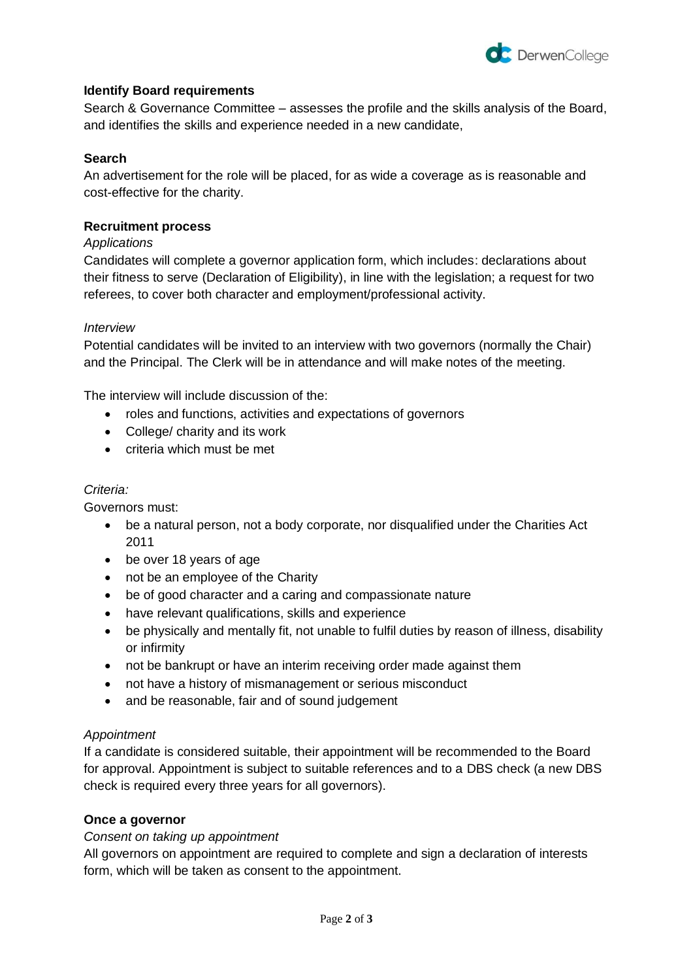

# **Identify Board requirements**

Search & Governance Committee – assesses the profile and the skills analysis of the Board, and identifies the skills and experience needed in a new candidate,

# **Search**

An advertisement for the role will be placed, for as wide a coverage as is reasonable and cost-effective for the charity.

### **Recruitment process**

### *Applications*

Candidates will complete a governor application form, which includes: declarations about their fitness to serve (Declaration of Eligibility), in line with the legislation; a request for two referees, to cover both character and employment/professional activity.

### *Interview*

Potential candidates will be invited to an interview with two governors (normally the Chair) and the Principal. The Clerk will be in attendance and will make notes of the meeting.

The interview will include discussion of the:

- roles and functions, activities and expectations of governors
- College/ charity and its work
- criteria which must be met

#### *Criteria:*

Governors must:

- be a natural person, not a body corporate, nor disqualified under the Charities Act 2011
- be over 18 years of age
- not be an employee of the Charity
- be of good character and a caring and compassionate nature
- have relevant qualifications, skills and experience
- be physically and mentally fit, not unable to fulfil duties by reason of illness, disability or infirmity
- not be bankrupt or have an interim receiving order made against them
- not have a history of mismanagement or serious misconduct
- and be reasonable, fair and of sound judgement

### *Appointment*

If a candidate is considered suitable, their appointment will be recommended to the Board for approval. Appointment is subject to suitable references and to a DBS check (a new DBS check is required every three years for all governors).

### **Once a governor**

### *Consent on taking up appointment*

All governors on appointment are required to complete and sign a declaration of interests form, which will be taken as consent to the appointment.